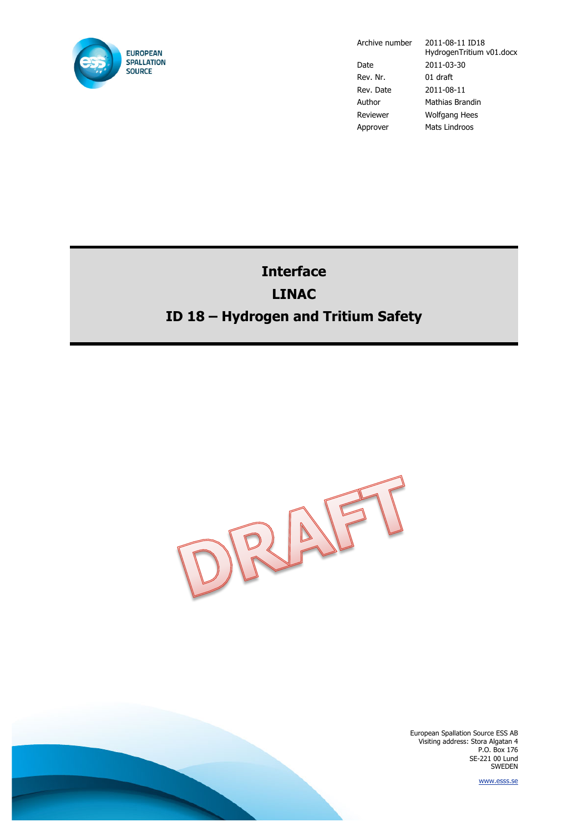

Archive number 2011-08-11 ID18

HydrogenTritium v01.docx Date 2011-03-30 Rev. Nr. 01 draft Rev. Date 2011-08-11 Author Mathias Brandin Reviewer Wolfgang Hees Approver Mats Lindroos

## **Interface LINAC ID 18 – Hydrogen and Tritium Safety**



European Spallation Source ESS AB Visiting address: Stora Algatan 4 P.O. Box 176 SE-221 00 Lund SWEDEN

www.esss.se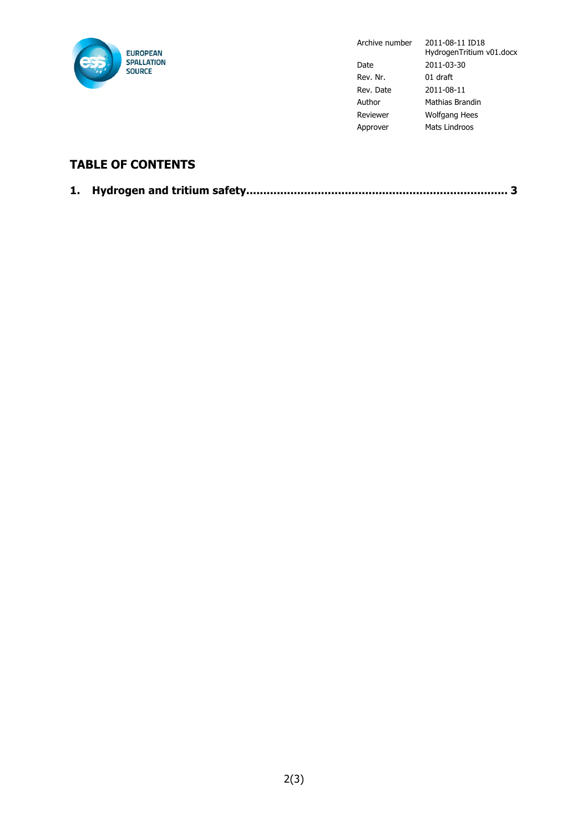

Archive number 2011-08-11 ID18 HydrogenTritium v01.docx Date 2011-03-30 Rev. Nr. 01 draft Rev. Date 2011-08-11 Author Mathias Brandin Reviewer Wolfgang Hees Approver Mats Lindroos

## **TABLE OF CONTENTS**